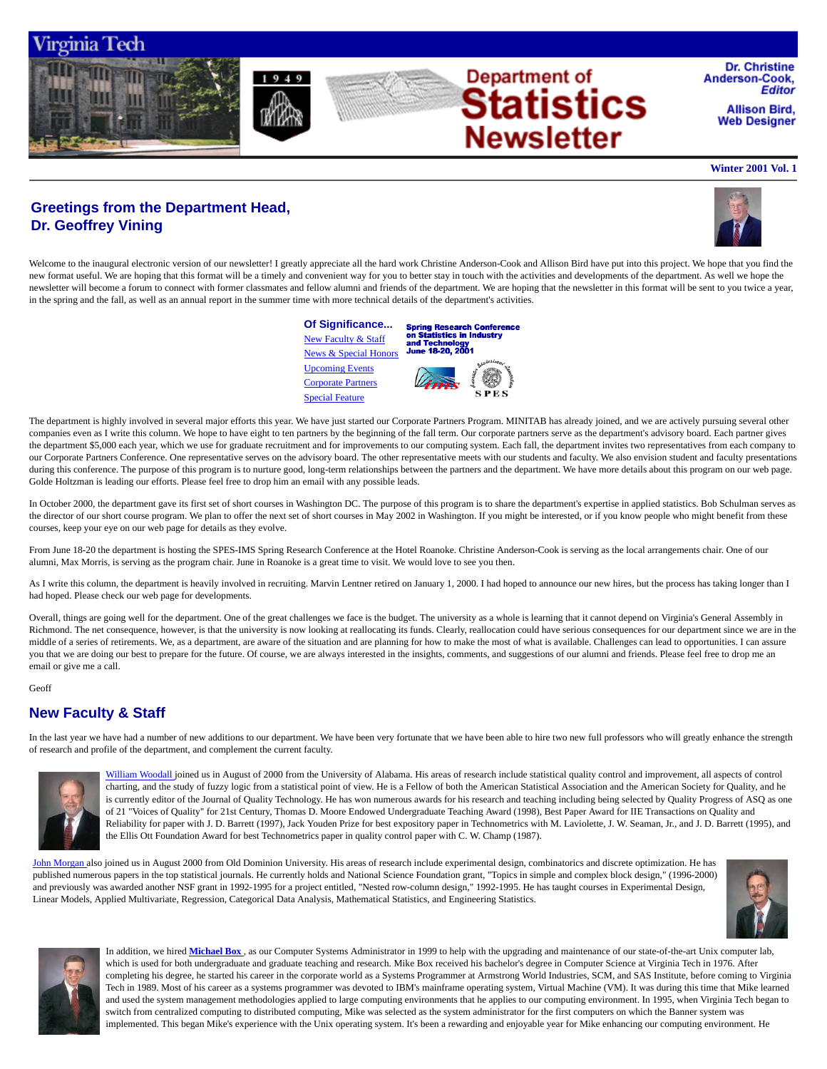

# **Greetings from the Department Head, Dr. Geoffrey Vining**



Welcome to the inaugural electronic version of our newsletter! I greatly appreciate all the hard work Christine Anderson-Cook and Allison Bird have put into this project. We hope that you find the new format useful. We are hoping that this format will be a timely and convenient way for you to better stay in touch with the activities and developments of the department. As well we hope the newsletter will become a forum to connect with former classmates and fellow alumni and friends of the department. We are hoping that the newsletter in this format will be sent to you twice a year, in the spring and the fall, as well as an annual report in the summer time with more technical details of the department's activities.



The department is highly involved in several major efforts this year. We have just started our Corporate Partners Program. MINITAB has already joined, and we are actively pursuing several other companies even as I write this column. We hope to have eight to ten partners by the beginning of the fall term. Our corporate partners serve as the department's advisory board. Each partner gives the department \$5,000 each year, which we use for graduate recruitment and for improvements to our computing system. Each fall, the department invites two representatives from each company to our Corporate Partners Conference. One representative serves on the advisory board. The other representative meets with our students and faculty. We also envision student and faculty presentations during this conference. The purpose of this program is to nurture good, long-term relationships between the partners and the department. We have more details about this program on our web page. Golde Holtzman is leading our efforts. Please feel free to drop him an email with any possible leads.

In October 2000, the department gave its first set of short courses in Washington DC. The purpose of this program is to share the department's expertise in applied statistics. Bob Schulman serves as the director of our short course program. We plan to offer the next set of short courses in May 2002 in Washington. If you might be interested, or if you know people who might benefit from these courses, keep your eye on our web page for details as they evolve.

From June 18-20 the department is hosting the SPES-IMS Spring Research Conference at the Hotel Roanoke. Christine Anderson-Cook is serving as the local arrangements chair. One of our alumni, Max Morris, is serving as the program chair. June in Roanoke is a great time to visit. We would love to see you then.

As I write this column, the department is heavily involved in recruiting. Marvin Lentner retired on January 1, 2000. I had hoped to announce our new hires, but the process has taking longer than I had hoped. Please check our web page for developments.

Overall, things are going well for the department. One of the great challenges we face is the budget. The university as a whole is learning that it cannot depend on Virginia's General Assembly in Richmond. The net consequence, however, is that the university is now looking at reallocating its funds. Clearly, reallocation could have serious consequences for our department since we are in the middle of a series of retirements. We, as a department, are aware of the situation and are planning for how to make the most of what is available. Challenges can lead to opportunities. I can assure you that we are doing our best to prepare for the future. Of course, we are always interested in the insights, comments, and suggestions of our alumni and friends. Please feel free to drop me an email or give me a call.

#### Geoff

## **New Faculty & Staff**

In the last year we have had a number of new additions to our department. We have been very fortunate that we have been able to hire two new full professors who will greatly enhance the strength of research and profile of the department, and complement the current faculty.



William Woodall joined us in August of 2000 from the University of Alabama. His areas of research include statistical quality control and improvement, all aspects of control charting, and the study of fuzzy logic from a statistical point of view. He is a Fellow of both the American Statistical Association and the American Society for Quality, and he is currently editor of the Journal of Quality Technology. He has won numerous awards for his research and teaching including being selected by Quality Progress of ASQ as one of 21 "Voices of Quality" for 21st Century, Thomas D. Moore Endowed Undergraduate Teaching Award (1998), Best Paper Award for IIE Transactions on Quality and Reliability for paper with J. D. Barrett (1997), Jack Youden Prize for best expository paper in Technometrics with M. Laviolette, J. W. Seaman, Jr., and J. D. Barrett (1995), and the Ellis Ott Foundation Award for best Technometrics paper in quality control paper with C. W. Champ (1987).

John Morgan also joined us in August 2000 from Old Dominion University. His areas of research include experimental design, combinatorics and discrete optimization. He has published numerous papers in the top statistical journals. He currently holds and National Science Foundation grant, "Topics in simple and complex block design," (1996-2000) and previously was awarded another NSF grant in 1992-1995 for a project entitled, "Nested row-column design," 1992-1995. He has taught courses in Experimental Design, Linear Models, Applied Multivariate, Regression, Categorical Data Analysis, Mathematical Statistics, and Engineering Statistics.





In addition, we hired **Michael Box** , as our Computer Systems Administrator in 1999 to help with the upgrading and maintenance of our state-of-the-art Unix computer lab, which is used for both undergraduate and graduate teaching and research. Mike Box received his bachelor's degree in Computer Science at Virginia Tech in 1976. After completing his degree, he started his career in the corporate world as a Systems Programmer at Armstrong World Industries, SCM, and SAS Institute, before coming to Virginia Tech in 1989. Most of his career as a systems programmer was devoted to IBM's mainframe operating system, Virtual Machine (VM). It was during this time that Mike learned and used the system management methodologies applied to large computing environments that he applies to our computing environment. In 1995, when Virginia Tech began to switch from centralized computing to distributed computing, Mike was selected as the system administrator for the first computers on which the Banner system was implemented. This began Mike's experience with the Unix operating system. It's been a rewarding and enjoyable year for Mike enhancing our computing environment. He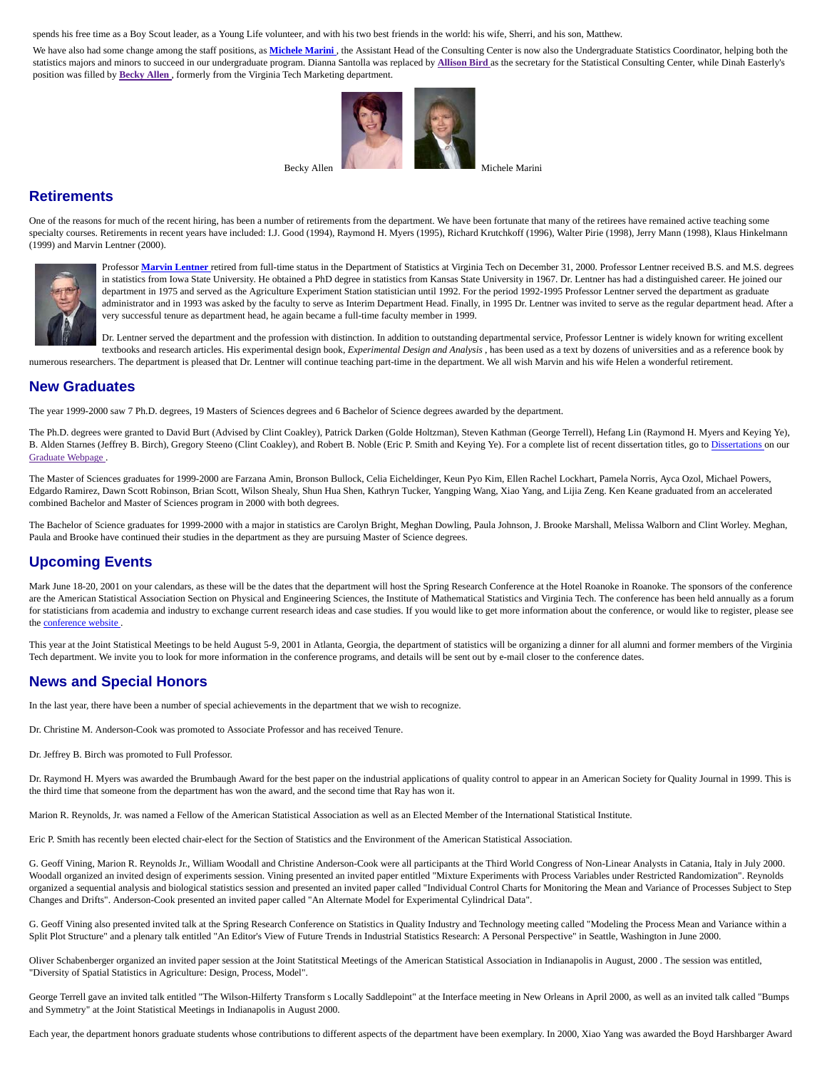spends his free time as a Boy Scout leader, as a Young Life volunteer, and with his two best friends in the world: his wife, Sherri, and his son, Matthew.

We have also had some change among the staff positions, as Michele Marini, the Assistant Head of the Consulting Center is now also the Undergraduate Statistics Coordinator, helping both the statistics majors and minors to succeed in our undergraduate program. Dianna Santolla was replaced by **Allison Bird** as the secretary for the Statistical Consulting Center, while Dinah Easterly's position was filled by **Becky Allen** , formerly from the Virginia Tech Marketing department.



# **Retirements**

One of the reasons for much of the recent hiring, has been a number of retirements from the department. We have been fortunate that many of the retirees have remained active teaching some specialty courses. Retirements in recent years have included: I.J. Good (1994), Raymond H. Myers (1995), Richard Krutchkoff (1996), Walter Pirie (1998), Jerry Mann (1998), Klaus Hinkelmann (1999) and Marvin Lentner (2000).



Professor **Marvin Lentner** retired from full-time status in the Department of Statistics at Virginia Tech on December 31, 2000. Professor Lentner received B.S. and M.S. degrees in statistics from Iowa State University. He obtained a PhD degree in statistics from Kansas State University in 1967. Dr. Lentner has had a distinguished career. He joined our department in 1975 and served as the Agriculture Experiment Station statistician until 1992. For the period 1992-1995 Professor Lentner served the department as graduate administrator and in 1993 was asked by the faculty to serve as Interim Department Head. Finally, in 1995 Dr. Lentner was invited to serve as the regular department head. After a very successful tenure as department head, he again became a full-time faculty member in 1999.

Dr. Lentner served the department and the profession with distinction. In addition to outstanding departmental service, Professor Lentner is widely known for writing excellent textbooks and research articles. His experimental design book, *Experimental Design and Analysis* , has been used as a text by dozens of universities and as a reference book by

numerous researchers. The department is pleased that Dr. Lentner will continue teaching part-time in the department. We all wish Marvin and his wife Helen a wonderful retirement.

# **New Graduates**

The year 1999-2000 saw 7 Ph.D. degrees, 19 Masters of Sciences degrees and 6 Bachelor of Science degrees awarded by the department.

The Ph.D. degrees were granted to David Burt (Advised by Clint Coakley), Patrick Darken (Golde Holtzman), Steven Kathman (George Terrell), Hefang Lin (Raymond H. Myers and Keying Ye), B. Alden Starnes (Jeffrey B. Birch), Gregory Steeno (Clint Coakley), and Robert B. Noble (Eric P. Smith and Keying Ye). For a complete list of recent dissertation titles, go to Dissertations on our Graduate Webpage .

The Master of Sciences graduates for 1999-2000 are Farzana Amin, Bronson Bullock, Celia Eicheldinger, Keun Pyo Kim, Ellen Rachel Lockhart, Pamela Norris, Ayca Ozol, Michael Powers, Edgardo Ramirez, Dawn Scott Robinson, Brian Scott, Wilson Shealy, Shun Hua Shen, Kathryn Tucker, Yangping Wang, Xiao Yang, and Lijia Zeng. Ken Keane graduated from an accelerated combined Bachelor and Master of Sciences program in 2000 with both degrees.

The Bachelor of Science graduates for 1999-2000 with a major in statistics are Carolyn Bright, Meghan Dowling, Paula Johnson, J. Brooke Marshall, Melissa Walborn and Clint Worley. Meghan, Paula and Brooke have continued their studies in the department as they are pursuing Master of Science degrees.

# **Upcoming Events**

Mark June 18-20, 2001 on your calendars, as these will be the dates that the department will host the Spring Research Conference at the Hotel Roanoke in Roanoke. The sponsors of the conference are the American Statistical Association Section on Physical and Engineering Sciences, the Institute of Mathematical Statistics and Virginia Tech. The conference has been held annually as a forum for statisticians from academia and industry to exchange current research ideas and case studies. If you would like to get more information about the conference, or would like to register, please see the conference website.

This year at the Joint Statistical Meetings to be held August 5-9, 2001 in Atlanta, Georgia, the department of statistics will be organizing a dinner for all alumni and former members of the Virginia Tech department. We invite you to look for more information in the conference programs, and details will be sent out by e-mail closer to the conference dates.

## **News and Special Honors**

In the last year, there have been a number of special achievements in the department that we wish to recognize.

Dr. Christine M. Anderson-Cook was promoted to Associate Professor and has received Tenure.

Dr. Jeffrey B. Birch was promoted to Full Professor.

Dr. Raymond H. Myers was awarded the Brumbaugh Award for the best paper on the industrial applications of quality control to appear in an American Society for Quality Journal in 1999. This is the third time that someone from the department has won the award, and the second time that Ray has won it.

Marion R. Reynolds, Jr. was named a Fellow of the American Statistical Association as well as an Elected Member of the International Statistical Institute.

Eric P. Smith has recently been elected chair-elect for the Section of Statistics and the Environment of the American Statistical Association.

G. Geoff Vining, Marion R. Reynolds Jr., William Woodall and Christine Anderson-Cook were all participants at the Third World Congress of Non-Linear Analysts in Catania, Italy in July 2000. Woodall organized an invited design of experiments session. Vining presented an invited paper entitled "Mixture Experiments with Process Variables under Restricted Randomization". Reynolds organized a sequential analysis and biological statistics session and presented an invited paper called "Individual Control Charts for Monitoring the Mean and Variance of Processes Subject to Step Changes and Drifts". Anderson-Cook presented an invited paper called "An Alternate Model for Experimental Cylindrical Data".

G. Geoff Vining also presented invited talk at the Spring Research Conference on Statistics in Quality Industry and Technology meeting called "Modeling the Process Mean and Variance within a Split Plot Structure" and a plenary talk entitled "An Editor's View of Future Trends in Industrial Statistics Research: A Personal Perspective" in Seattle, Washington in June 2000.

Oliver Schabenberger organized an invited paper session at the Joint Statitstical Meetings of the American Statistical Association in Indianapolis in August, 2000 . The session was entitled, "Diversity of Spatial Statistics in Agriculture: Design, Process, Model".

George Terrell gave an invited talk entitled "The Wilson-Hilferty Transform s Locally Saddlepoint" at the Interface meeting in New Orleans in April 2000, as well as an invited talk called "Bumps and Symmetry" at the Joint Statistical Meetings in Indianapolis in August 2000.

Each year, the department honors graduate students whose contributions to different aspects of the department have been exemplary. In 2000, Xiao Yang was awarded the Boyd Harshbarger Award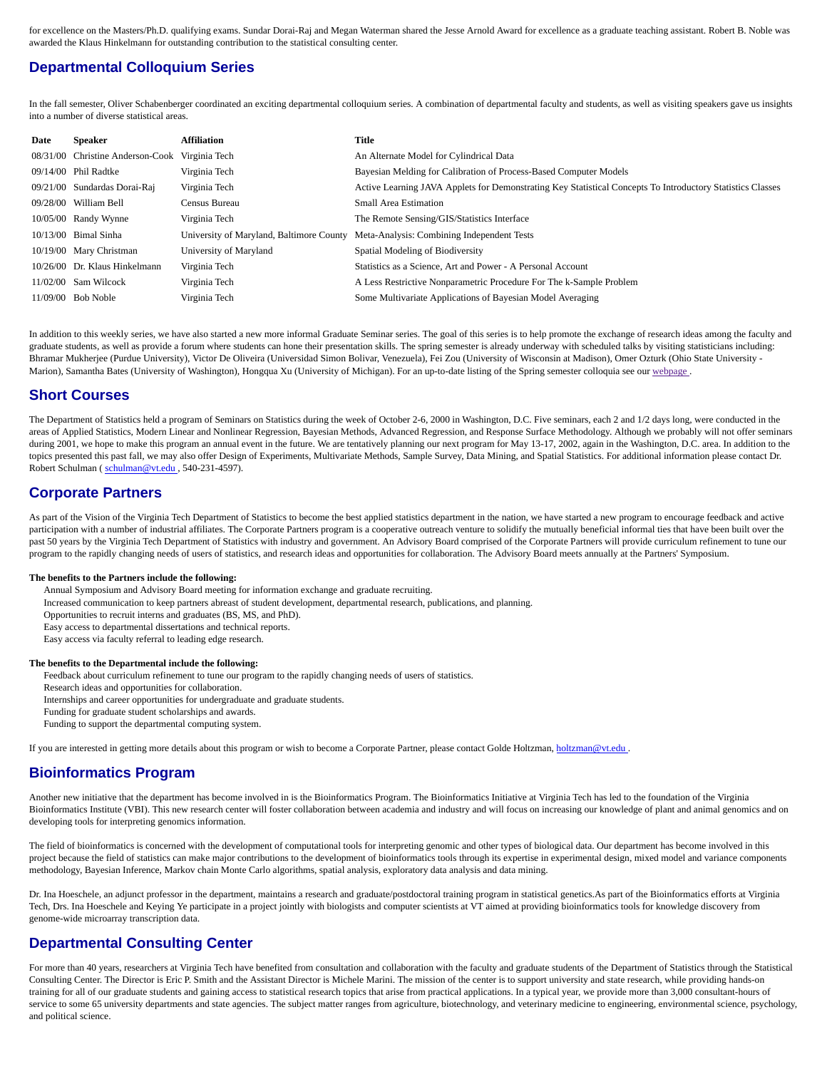for excellence on the Masters/Ph.D. qualifying exams. Sundar Dorai-Raj and Megan Waterman shared the Jesse Arnold Award for excellence as a graduate teaching assistant. Robert B. Noble was awarded the Klaus Hinkelmann for outstanding contribution to the statistical consulting center.

# **Departmental Colloquium Series**

In the fall semester, Oliver Schabenberger coordinated an exciting departmental colloquium series. A combination of departmental faculty and students, as well as visiting speakers gave us insights into a number of diverse statistical areas.

| Date | <b>Speaker</b>                   | Affiliation            | Title                                                                                                      |
|------|----------------------------------|------------------------|------------------------------------------------------------------------------------------------------------|
|      | 08/31/00 Christine Anderson-Cook | Virginia Tech          | An Alternate Model for Cylindrical Data                                                                    |
|      | 09/14/00 Phil Radtke             | Virginia Tech          | Bayesian Melding for Calibration of Process-Based Computer Models                                          |
|      | 09/21/00 Sundardas Dorai-Raj     | Virginia Tech          | Active Learning JAVA Applets for Demonstrating Key Statistical Concepts To Introductory Statistics Classes |
|      | 09/28/00 William Bell            | Census Bureau          | <b>Small Area Estimation</b>                                                                               |
|      | 10/05/00 Randy Wynne             | Virginia Tech          | The Remote Sensing/GIS/Statistics Interface                                                                |
|      | $10/13/00$ Bimal Sinha           |                        | University of Maryland, Baltimore County Meta-Analysis: Combining Independent Tests                        |
|      | 10/19/00 Mary Christman          | University of Maryland | Spatial Modeling of Biodiversity                                                                           |
|      | 10/26/00 Dr. Klaus Hinkelmann    | Virginia Tech          | Statistics as a Science, Art and Power - A Personal Account                                                |
|      | $11/02/00$ Sam Wilcock           | Virginia Tech          | A Less Restrictive Nonparametric Procedure For The k-Sample Problem                                        |
|      | $11/09/00$ Bob Noble             | Virginia Tech          | Some Multivariate Applications of Bayesian Model Averaging                                                 |

In addition to this weekly series, we have also started a new more informal Graduate Seminar series. The goal of this series is to help promote the exchange of research ideas among the faculty and graduate students, as well as provide a forum where students can hone their presentation skills. The spring semester is already underway with scheduled talks by visiting statisticians including: Bhramar Mukherjee (Purdue University), Victor De Oliveira (Universidad Simon Bolivar, Venezuela), Fei Zou (University of Wisconsin at Madison), Omer Ozturk (Ohio State University - Marion), Samantha Bates (University of Washington), Hongqua Xu (University of Michigan). For an up-to-date listing of the Spring semester colloquia see our webpage.

### **Short Courses**

The Department of Statistics held a program of Seminars on Statistics during the week of October 2-6, 2000 in Washington, D.C. Five seminars, each 2 and 1/2 days long, were conducted in the areas of Applied Statistics, Modern Linear and Nonlinear Regression, Bayesian Methods, Advanced Regression, and Response Surface Methodology. Although we probably will not offer seminars during 2001, we hope to make this program an annual event in the future. We are tentatively planning our next program for May 13-17, 2002, again in the Washington, D.C. area. In addition to the topics presented this past fall, we may also offer Design of Experiments, Multivariate Methods, Sample Survey, Data Mining, and Spatial Statistics. For additional information please contact Dr. Robert Schulman ( schulman@vt.edu , 540-231-4597).

## **Corporate Partners**

As part of the Vision of the Virginia Tech Department of Statistics to become the best applied statistics department in the nation, we have started a new program to encourage feedback and active participation with a number of industrial affiliates. The Corporate Partners program is a cooperative outreach venture to solidify the mutually beneficial informal ties that have been built over the past 50 years by the Virginia Tech Department of Statistics with industry and government. An Advisory Board comprised of the Corporate Partners will provide curriculum refinement to tune our program to the rapidly changing needs of users of statistics, and research ideas and opportunities for collaboration. The Advisory Board meets annually at the Partners' Symposium.

#### **The benefits to the Partners include the following:**

Annual Symposium and Advisory Board meeting for information exchange and graduate recruiting.

Increased communication to keep partners abreast of student development, departmental research, publications, and planning.

Opportunities to recruit interns and graduates (BS, MS, and PhD).

Easy access to departmental dissertations and technical reports.

Easy access via faculty referral to leading edge research.

#### **The benefits to the Departmental include the following:**

Feedback about curriculum refinement to tune our program to the rapidly changing needs of users of statistics.

Research ideas and opportunities for collaboration.

Internships and career opportunities for undergraduate and graduate students.

Funding for graduate student scholarships and awards.

Funding to support the departmental computing system.

If you are interested in getting more details about this program or wish to become a Corporate Partner, please contact Golde Holtzman, holtzman@vt.edu .

# **Bioinformatics Program**

Another new initiative that the department has become involved in is the Bioinformatics Program. The Bioinformatics Initiative at Virginia Tech has led to the foundation of the Virginia Bioinformatics Institute (VBI). This new research center will foster collaboration between academia and industry and will focus on increasing our knowledge of plant and animal genomics and on developing tools for interpreting genomics information.

The field of bioinformatics is concerned with the development of computational tools for interpreting genomic and other types of biological data. Our department has become involved in this project because the field of statistics can make major contributions to the development of bioinformatics tools through its expertise in experimental design, mixed model and variance components methodology, Bayesian Inference, Markov chain Monte Carlo algorithms, spatial analysis, exploratory data analysis and data mining.

Dr. Ina Hoeschele, an adjunct professor in the department, maintains a research and graduate/postdoctoral training program in statistical genetics.As part of the Bioinformatics efforts at Virginia Tech, Drs. Ina Hoeschele and Keying Ye participate in a project jointly with biologists and computer scientists at VT aimed at providing bioinformatics tools for knowledge discovery from genome-wide microarray transcription data.

# **Departmental Consulting Center**

For more than 40 years, researchers at Virginia Tech have benefited from consultation and collaboration with the faculty and graduate students of the Department of Statistics through the Statistical Consulting Center. The Director is Eric P. Smith and the Assistant Director is Michele Marini. The mission of the center is to support university and state research, while providing hands-on training for all of our graduate students and gaining access to statistical research topics that arise from practical applications. In a typical year, we provide more than 3,000 consultant-hours of service to some 65 university departments and state agencies. The subject matter ranges from agriculture, biotechnology, and veterinary medicine to engineering, environmental science, psychology, and political science.